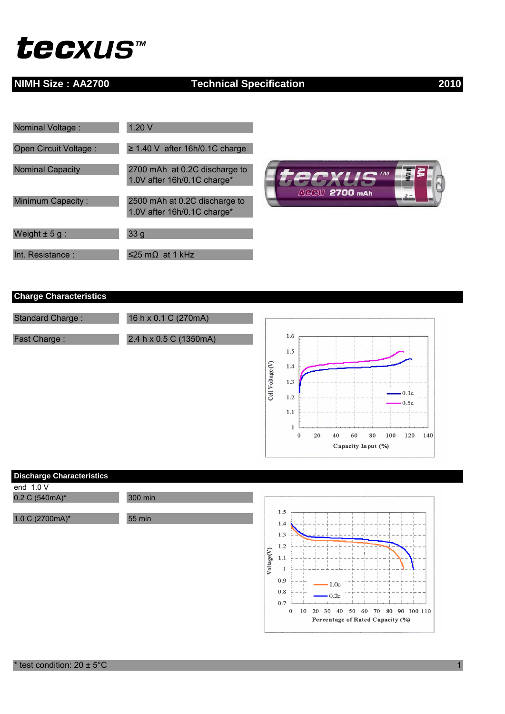## *tecxus*™

### **NIMH Size : AA2700 Technical Specification 2010**

### Nominal Voltage : 1.20 V Open Circuit Voltage : ≥ 1.40 V after 16h/0.1C charge Nominal Capacity 2700 mAh at 0.2C discharge to 1.0V after 16h/0.1C charge\* Minimum Capacity : 2500 mAh at 0.2C discharge to 1.0V after 16h/0.1C charge\* Weight  $\pm 5$  g :  $\qquad$  33 g Int. Resistance :  $≤25$  mΩ at 1 kHz



#### **Charge Characteristics**

Standard Charge : 16 h x 0.1 C (270mA)

Fast Charge : 2.4 h x 0.5 C (1350mA)



#### **Discharge Characteristics**

end 1.0 V

0.2 C (540mA)\* 300 min

1.0 C (2700mA)\* 55 min

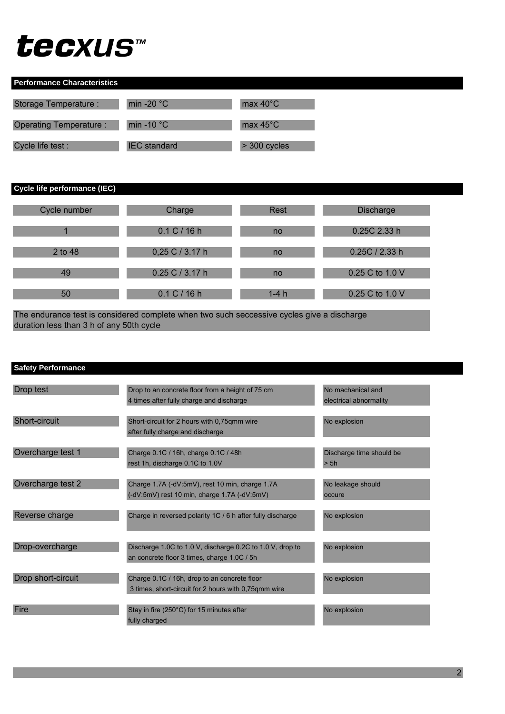# tecxus™

## **Performance Characteristics** Storage Temperature : min -20 °C max 40°C Operating Temperature : min -10 °C max 45°C Cycle life test : IEC standard > 300 cycles

#### **Cycle life performance (IEC)**

| Cycle number | Charge            | Rest   | <b>Discharge</b> |
|--------------|-------------------|--------|------------------|
|              | 0.1 C / 16 h      | no     | 0.25C 2.33 h     |
| 2 to 48      | $0,25$ C / 3.17 h | no     | 0.25C / 2.33h    |
| 49           | 0.25 C / 3.17 h   | no     | 0.25 C to 1.0 V  |
| 50           | 0.1 C / 16 h      | $1-4h$ | 0.25 C to 1.0 V  |

duration less than 3 h of any 50th cycle The endurance test is considered complete when two such seccessive cycles give a discharge

| <b>Safety Performance</b> |                                                                                                          |                                             |
|---------------------------|----------------------------------------------------------------------------------------------------------|---------------------------------------------|
| Drop test                 | Drop to an concrete floor from a height of 75 cm<br>4 times after fully charge and discharge             | No machanical and<br>electrical abnormality |
| Short-circuit             | Short-circuit for 2 hours with 0.75qmm wire<br>after fully charge and discharge                          | No explosion                                |
| Overcharge test 1         | Charge 0.1C / 16h, charge 0.1C / 48h<br>rest 1h, discharge 0.1C to 1.0V                                  | Discharge time should be<br>> 5h            |
| Overcharge test 2         | Charge 1.7A (-dV:5mV), rest 10 min, charge 1.7A<br>(-dV:5mV) rest 10 min, charge 1.7A (-dV:5mV)          | No leakage should<br>occure                 |
| Reverse charge            | Charge in reversed polarity 1C / 6 h after fully discharge                                               | No explosion                                |
| Drop-overcharge           | Discharge 1.0C to 1.0 V, discharge 0.2C to 1.0 V, drop to<br>an concrete floor 3 times, charge 1.0C / 5h | No explosion                                |
| Drop short-circuit        | Charge 0.1C / 16h, drop to an concrete floor<br>3 times, short-circuit for 2 hours with 0,75qmm wire     | No explosion                                |
| Fire                      | Stay in fire (250°C) for 15 minutes after<br>fully charged                                               | No explosion                                |